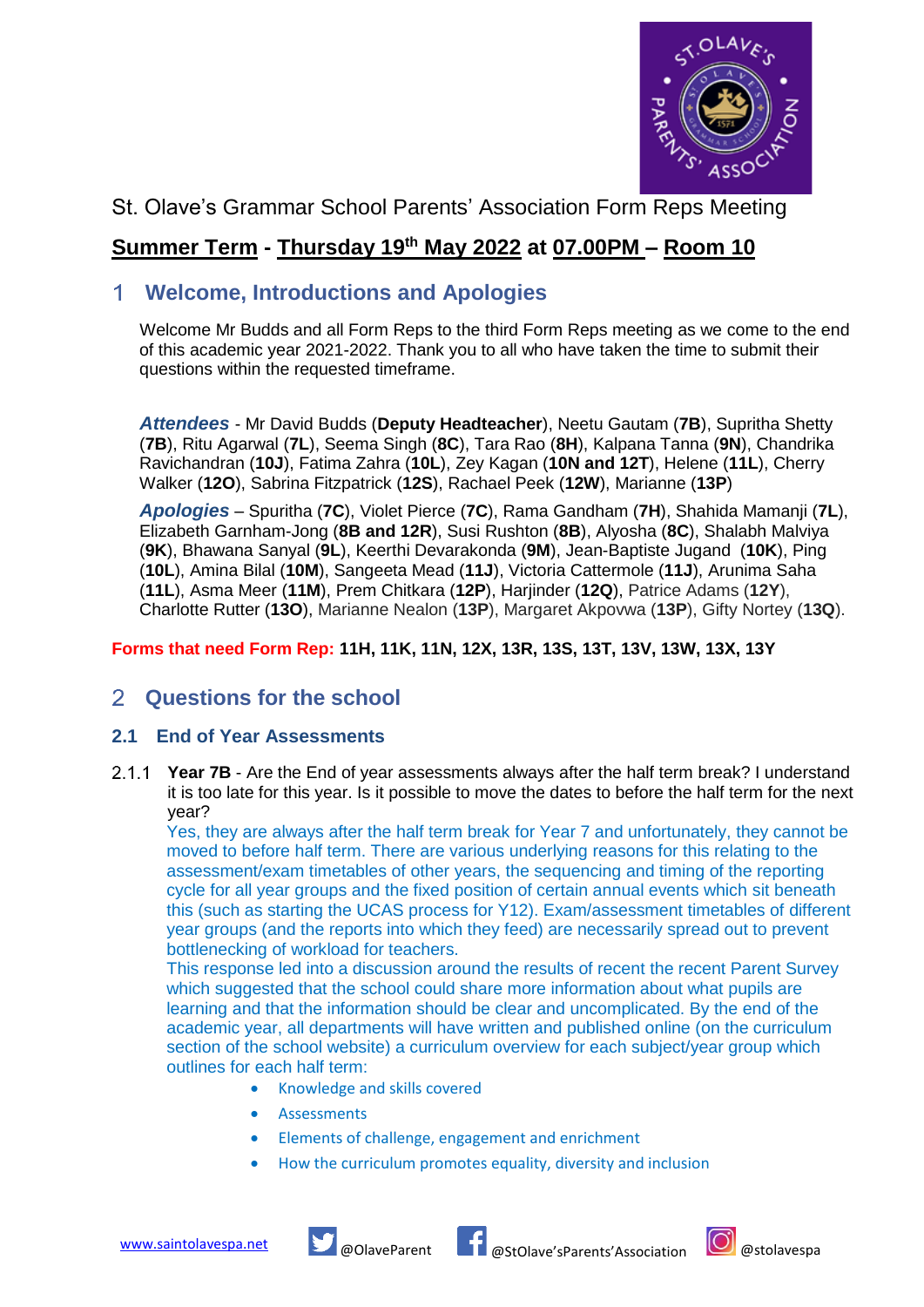

## St. Olave's Grammar School Parents' Association Form Reps Meeting

## **Summer Term - Thursday 19 th May 2022 at 07.00PM – Room 10**

### **Welcome, Introductions and Apologies**

Welcome Mr Budds and all Form Reps to the third Form Reps meeting as we come to the end of this academic year 2021-2022. Thank you to all who have taken the time to submit their questions within the requested timeframe.

*Attendees* - Mr David Budds (**Deputy Headteacher**), Neetu Gautam (**7B**), Supritha Shetty (**7B**), Ritu Agarwal (**7L**), Seema Singh (**8C**), Tara Rao (**8H**), Kalpana Tanna (**9N**), Chandrika Ravichandran (**10J**), Fatima Zahra (**10L**), Zey Kagan (**10N and 12T**), Helene (**11L**), Cherry Walker (**12O**), Sabrina Fitzpatrick (**12S**), Rachael Peek (**12W**), Marianne (**13P**)

*Apologies* – Spuritha (**7C**), Violet Pierce (**7C**), Rama Gandham (**7H**), Shahida Mamanji (**7L**), Elizabeth Garnham-Jong (**8B and 12R**), Susi Rushton (**8B**), Alyosha (**8C**), Shalabh Malviya (**9K**), Bhawana Sanyal (**9L**), Keerthi Devarakonda (**9M**), Jean-Baptiste Jugand (**10K**), Ping (**10L**), Amina Bilal (**10M**), Sangeeta Mead (**11J**), Victoria Cattermole (**11J**), Arunima Saha (**11L**), Asma Meer (**11M**), Prem Chitkara (**12P**), Harjinder (**12Q**), Patrice Adams (**12Y**), Charlotte Rutter (**13O**), Marianne Nealon (**13P**), Margaret Akpovwa (**13P**), Gifty Nortey (**13Q**).

#### **Forms that need Form Rep: 11H, 11K, 11N, 12X, 13R, 13S, 13T, 13V, 13W, 13X, 13Y**

#### $\mathcal{P}$ **Questions for the school**

### **2.1 End of Year Assessments**

**Year 7B** - Are the End of year assessments always after the half term break? I understand it is too late for this year. Is it possible to move the dates to before the half term for the next year?

Yes, they are always after the half term break for Year 7 and unfortunately, they cannot be moved to before half term. There are various underlying reasons for this relating to the assessment/exam timetables of other years, the sequencing and timing of the reporting cycle for all year groups and the fixed position of certain annual events which sit beneath this (such as starting the UCAS process for Y12). Exam/assessment timetables of different year groups (and the reports into which they feed) are necessarily spread out to prevent bottlenecking of workload for teachers.

This response led into a discussion around the results of recent the recent Parent Survey which suggested that the school could share more information about what pupils are learning and that the information should be clear and uncomplicated. By the end of the academic year, all departments will have written and published online (on the curriculum section of the school website) a curriculum overview for each subject/year group which outlines for each half term:

- Knowledge and skills covered
- **Assessments**
- Elements of challenge, engagement and enrichment
- How the curriculum promotes equality, diversity and inclusion



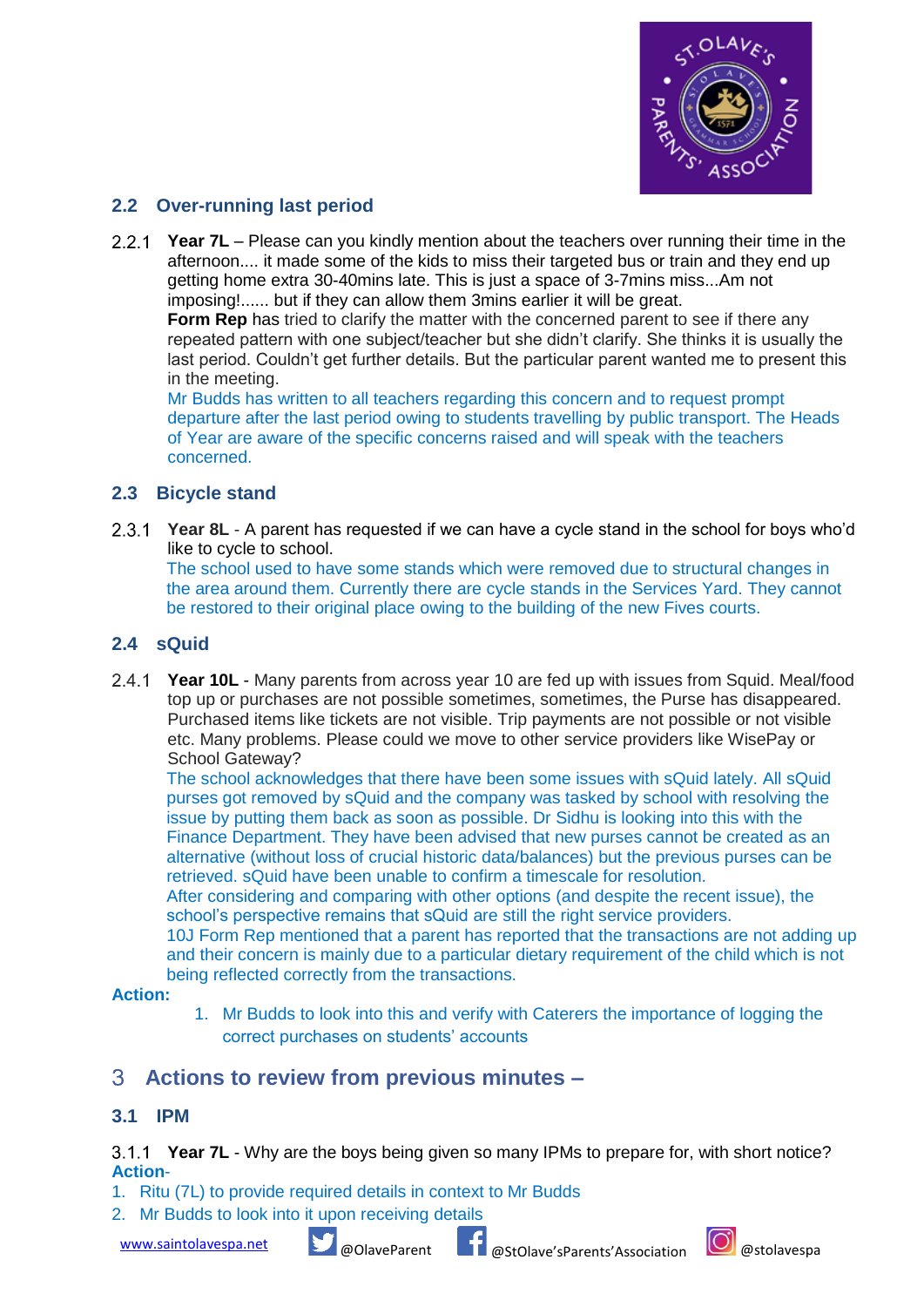

### **2.2 Over-running last period**

**Year 7L** – Please can you kindly mention about the teachers over running their time in the afternoon.... it made some of the kids to miss their targeted bus or train and they end up getting home extra 30-40mins late. This is just a space of 3-7mins miss...Am not imposing!...... but if they can allow them 3mins earlier it will be great.

**Form Rep** has tried to clarify the matter with the concerned parent to see if there any repeated pattern with one subject/teacher but she didn't clarify. She thinks it is usually the last period. Couldn't get further details. But the particular parent wanted me to present this in the meeting.

Mr Budds has written to all teachers regarding this concern and to request prompt departure after the last period owing to students travelling by public transport. The Heads of Year are aware of the specific concerns raised and will speak with the teachers concerned.

### **2.3 Bicycle stand**

**Year 8L** - A parent has requested if we can have a cycle stand in the school for boys who'd like to cycle to school.

The school used to have some stands which were removed due to structural changes in the area around them. Currently there are cycle stands in the Services Yard. They cannot be restored to their original place owing to the building of the new Fives courts.

#### **2.4 sQuid**

**Year 10L** - Many parents from across year 10 are fed up with issues from Squid. Meal/food top up or purchases are not possible sometimes, sometimes, the Purse has disappeared. Purchased items like tickets are not visible. Trip payments are not possible or not visible etc. Many problems. Please could we move to other service providers like WisePay or School Gateway?

The school acknowledges that there have been some issues with sQuid lately. All sQuid purses got removed by sQuid and the company was tasked by school with resolving the issue by putting them back as soon as possible. Dr Sidhu is looking into this with the Finance Department. They have been advised that new purses cannot be created as an alternative (without loss of crucial historic data/balances) but the previous purses can be retrieved. sQuid have been unable to confirm a timescale for resolution.

After considering and comparing with other options (and despite the recent issue), the school's perspective remains that sQuid are still the right service providers.

10J Form Rep mentioned that a parent has reported that the transactions are not adding up and their concern is mainly due to a particular dietary requirement of the child which is not being reflected correctly from the transactions.

#### **Action:**

1. Mr Budds to look into this and verify with Caterers the importance of logging the correct purchases on students' accounts

### **Actions to review from previous minutes –**

#### **3.1 IPM**

**Year 7L** - Why are the boys being given so many IPMs to prepare for, with short notice? **Action**-

- 1. Ritu (7L) to provide required details in context to Mr Budds
- 2. Mr Budds to look into it upon receiving details

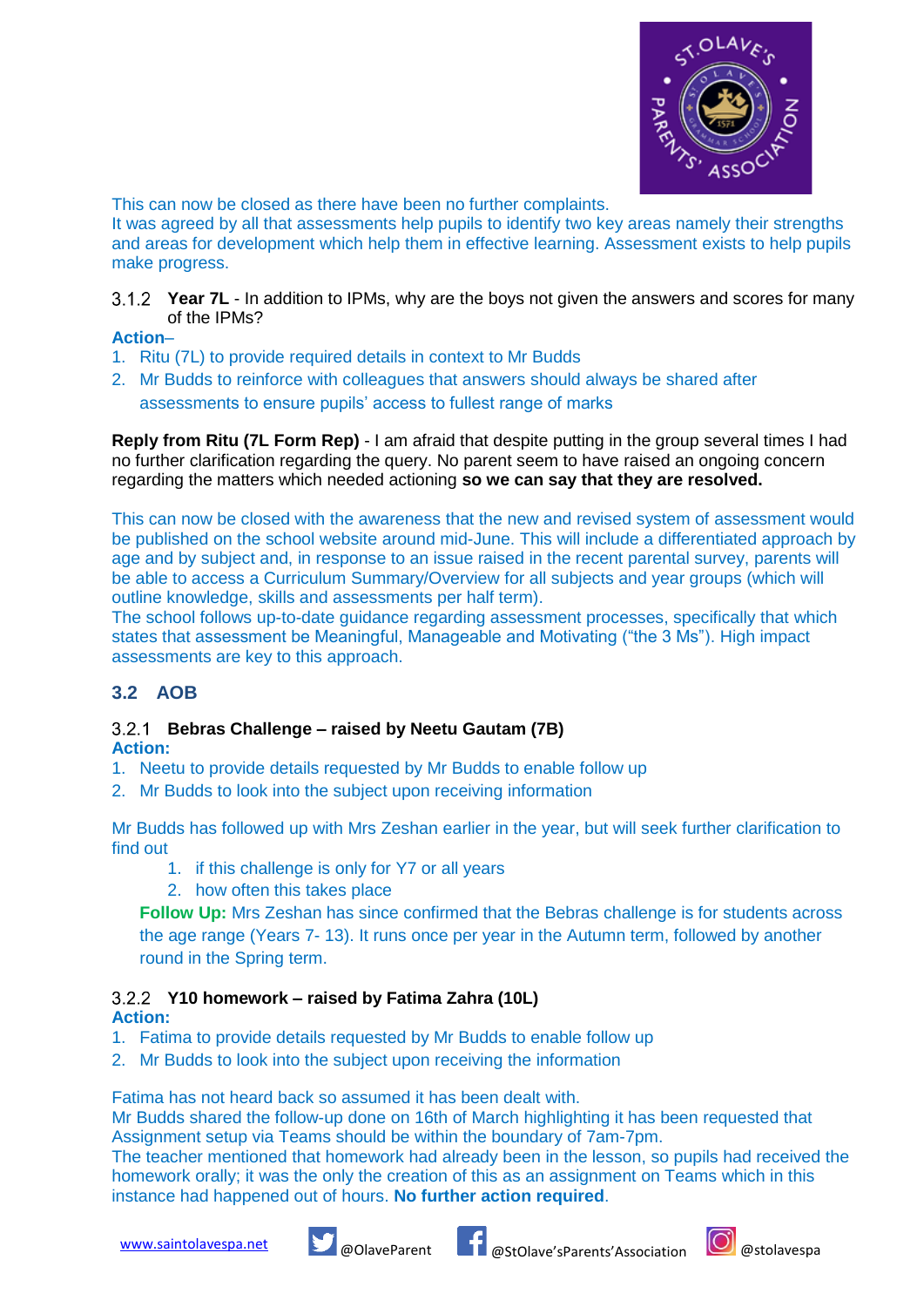

This can now be closed as there have been no further complaints.

It was agreed by all that assessments help pupils to identify two key areas namely their strengths and areas for development which help them in effective learning. Assessment exists to help pupils make progress.

**Year 7L** - In addition to IPMs, why are the boys not given the answers and scores for many of the IPMs?

#### **Action**–

- 1. Ritu (7L) to provide required details in context to Mr Budds
- 2. Mr Budds to reinforce with colleagues that answers should always be shared after assessments to ensure pupils' access to fullest range of marks

**Reply from Ritu (7L Form Rep)** - I am afraid that despite putting in the group several times I had no further clarification regarding the query. No parent seem to have raised an ongoing concern regarding the matters which needed actioning **so we can say that they are resolved.**

This can now be closed with the awareness that the new and revised system of assessment would be published on the school website around mid-June. This will include a differentiated approach by age and by subject and, in response to an issue raised in the recent parental survey, parents will be able to access a Curriculum Summary/Overview for all subjects and year groups (which will outline knowledge, skills and assessments per half term).

The school follows up-to-date guidance regarding assessment processes, specifically that which states that assessment be Meaningful, Manageable and Motivating ("the 3 Ms"). High impact assessments are key to this approach.

### **3.2 AOB**

# **Bebras Challenge – raised by Neetu Gautam (7B)**

**Action:**

- 1. Neetu to provide details requested by Mr Budds to enable follow up
- 2. Mr Budds to look into the subject upon receiving information

Mr Budds has followed up with Mrs Zeshan earlier in the year, but will seek further clarification to find out

- 1. if this challenge is only for Y7 or all years
- 2. how often this takes place

**Follow Up:** Mrs Zeshan has since confirmed that the Bebras challenge is for students across the age range (Years 7- 13). It runs once per year in the Autumn term, followed by another round in the Spring term.

### **Y10 homework – raised by Fatima Zahra (10L)**

**Action:**

- 1. Fatima to provide details requested by Mr Budds to enable follow up
- 2. Mr Budds to look into the subject upon receiving the information

Fatima has not heard back so assumed it has been dealt with.

Mr Budds shared the follow-up done on 16th of March highlighting it has been requested that Assignment setup via Teams should be within the boundary of 7am-7pm.

The teacher mentioned that homework had already been in the lesson, so pupils had received the homework orally; it was the only the creation of this as an assignment on Teams which in this instance had happened out of hours. **No further action required**.





[www.saintolavespa.net](http://www.saintolavespa.net/) **@OlaveParent & @StOlave'sParents'Association** @stolavespa